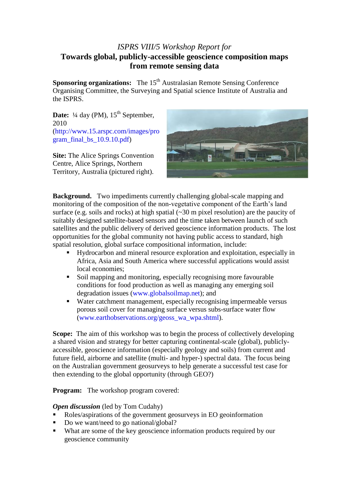# *ISPRS VIII/5 Workshop Report for* **Towards global, publicly-accessible geoscience composition maps from remote sensing data**

**Sponsoring organizations:** The 15<sup>th</sup> Australasian Remote Sensing Conference Organising Committee, the Surveying and Spatial science Institute of Australia and the ISPRS.

**Date:**  $\frac{1}{4}$  day (PM),  $15^{\text{th}}$  September, 2010 [\(http://www.15.arspc.com/images/pro](http://www.15.arspc.com/images/program_final_bs_10.9.10.pdf) gram final bs  $10.9.10.pdf$ 

**Site:** The Alice Springs Convention Centre, Alice Springs, Northern Territory, Australia (pictured right).



**Background.** Two impediments currently challenging global-scale mapping and monitoring of the composition of the non-vegetative component of the Earth's land surface (e.g. soils and rocks) at high spatial  $(\sim 30 \text{ m pixel resolution})$  are the paucity of suitably designed satellite-based sensors and the time taken between launch of such satellites and the public delivery of derived geoscience information products.The lost opportunities for the global community not having public access to standard, high spatial resolution, global surface compositional information, include:

- Hydrocarbon and mineral resource exploration and exploitation, especially in Africa, Asia and South America where successful applications would assist local economies;
- Soil mapping and monitoring, especially recognising more favourable conditions for food production as well as managing any emerging soil degradation issues [\(www.globalsoilmap.net\)](http://www.globalsoilmap.net/); and
- Water catchment management, especially recognising impermeable versus porous soil cover for managing surface versus subs-surface water flow [\(www.earthobservations.org/geoss\\_wa\\_wpa.shtml\)](http://www.earthobservations.org/geoss_wa_wpa.shtml).

**Scope:** The aim of this workshop was to begin the process of collectively developing a shared vision and strategy for better capturing continental-scale (global), publiclyaccessible, geoscience information (especially geology and soils) from current and future field, airborne and satellite (multi- and hyper-) spectral data. The focus being on the Australian government geosurveys to help generate a successful test case for then extending to the global opportunity (through GEO?)

**Program:** The workshop program covered:

# *Open discussion* (led by Tom Cudahy)

- Roles/aspirations of the government geosurveys in EO geoinformation
- Do we want/need to go national/global?
- What are some of the key geoscience information products required by our geoscience community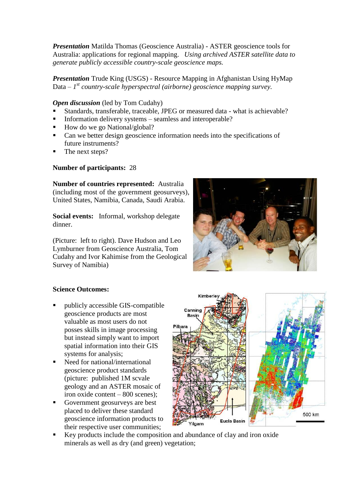*Presentation* Matilda Thomas (Geoscience Australia) - ASTER geoscience tools for Australia: applications for regional mapping. *Using archived ASTER satellite data to generate publicly accessible country-scale geoscience maps.*

*Presentation* Trude King (USGS) - Resource Mapping in Afghanistan Using HyMap Data – *1 st country-scale hyperspectral (airborne) geoscience mapping survey.*

*Open discussion* (led by Tom Cudahy)

- Standards, transferable, traceable, JPEG or measured data what is achievable?
- Information delivery systems seamless and interoperable?
- $\blacksquare$  How do we go National/global?
- Can we better design geoscience information needs into the specifications of future instruments?
- The next steps?

# **Number of participants:** 28

**Number of countries represented:** Australia (including most of the government geosurveys), United States, Namibia, Canada, Saudi Arabia.

**Social events:** Informal, workshop delegate dinner.

(Picture: left to right). Dave Hudson and Leo Lymburner from Geoscience Australia, Tom Cudahy and Ivor Kahimise from the Geological Survey of Namibia)



# **Science Outcomes:**

- publicly accessible GIS-compatible geoscience products are most valuable as most users do not posses skills in image processing but instead simply want to import spatial information into their GIS systems for analysis;
- Need for national/international geoscience product standards (picture: published 1M scvale geology and an ASTER mosaic of iron oxide content – 800 scenes);
- Government geosurveys are best placed to deliver these standard geoscience information products to their respective user communities;



 Key products include the composition and abundance of clay and iron oxide minerals as well as dry (and green) vegetation;